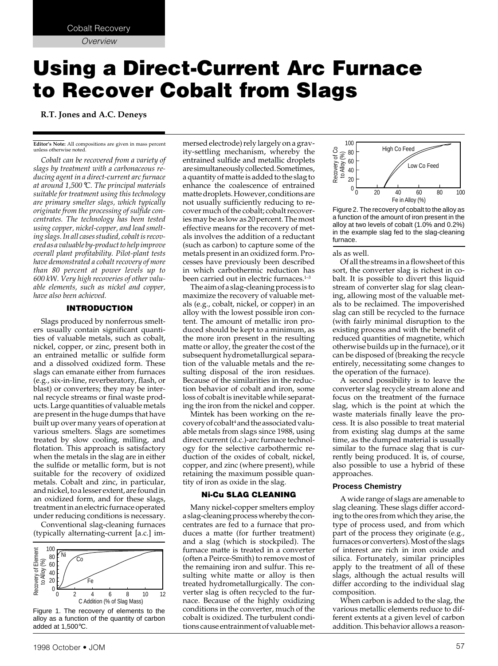## Cobalt Recovery

**Overview** 

# **Using a Direct-Current Arc Furnace to Recover Cobalt from Slags**

**R.T. Jones and A.C. Deneys**

**Editor's Note:** All compositions are given in mass percent unless otherwise noted.

*Cobalt can be recovered from a variety of slags by treatment with a carbonaceous reducing agent in a direct-current arc furnace at around 1,500*°*C. The principal materials suitable for treatment using this technology are primary smelter slags, which typically originate from the processing of sulfide concentrates. The technology has been tested using copper, nickel-copper, and lead smelting slags. In all cases studied, cobalt is recovered as a valuable by-product to help improve overall plant profitability. Pilot-plant tests have demonstrated a cobalt recovery of more than 80 percent at power levels up to 600 kW. Very high recoveries of other valuable elements, such as nickel and copper, have also been achieved.*

# **INTRODUCTION**

Slags produced by nonferrous smelters usually contain significant quantities of valuable metals, such as cobalt, nickel, copper, or zinc, present both in an entrained metallic or sulfide form and a dissolved oxidized form. These slags can emanate either from furnaces (e.g., six-in-line, reverberatory, flash, or blast) or converters; they may be internal recycle streams or final waste products. Large quantities of valuable metals are present in the huge dumps that have built up over many years of operation at various smelters. Slags are sometimes treated by slow cooling, milling, and flotation. This approach is satisfactory when the metals in the slag are in either the sulfide or metallic form, but is not suitable for the recovery of oxidized metals. Cobalt and zinc, in particular, and nickel, to a lesser extent, are found in an oxidized form, and for these slags, treatment in an electric furnace operated under reducing conditions is necessary.

Conventional slag-cleaning furnaces (typically alternating-current [a.c.] im-



Figure 1. The recovery of elements to the alloy as a function of the quantity of carbon added at 1,500°C.

mersed electrode) rely largely on a gravity-settling mechanism, whereby the entrained sulfide and metallic droplets are simultaneously collected. Sometimes, a quantity of matte is added to the slag to enhance the coalescence of entrained matte droplets. However, conditions are not usually sufficiently reducing to recover much of the cobalt; cobalt recoveries may be as low as 20 percent. The most effective means for the recovery of metals involves the addition of a reductant (such as carbon) to capture some of the metals present in an oxidized form. Processes have previously been described in which carbothermic reduction has been carried out in electric furnaces.<sup>1-3</sup>

The aim of a slag-cleaning process is to maximize the recovery of valuable metals (e.g., cobalt, nickel, or copper) in an alloy with the lowest possible iron content. The amount of metallic iron produced should be kept to a minimum, as the more iron present in the resulting matte or alloy, the greater the cost of the subsequent hydrometallurgical separation of the valuable metals and the resulting disposal of the iron residues. Because of the similarities in the reduction behavior of cobalt and iron, some loss of cobalt is inevitable while separating the iron from the nickel and copper.

Mintek has been working on the recovery of cobalt<sup>4</sup> and the associated valuable metals from slags since 1988, using direct current (d.c.)-arc furnace technology for the selective carbothermic reduction of the oxides of cobalt, nickel, copper, and zinc (where present), while retaining the maximum possible quantity of iron as oxide in the slag.

#### **Ni-Cu SLAG CLEANING**

Many nickel-copper smelters employ a slag-cleaning process whereby the concentrates are fed to a furnace that produces a matte (for further treatment) and a slag (which is stockpiled). The furnace matte is treated in a converter (often a Peirce-Smith) to remove most of the remaining iron and sulfur. This resulting white matte or alloy is then treated hydrometallurgically. The converter slag is often recycled to the furnace. Because of the highly oxidizing conditions in the converter, much of the cobalt is oxidized. The turbulent conditions cause entrainment of valuable met-



Figure 2. The recovery of cobalt to the alloy as a function of the amount of iron present in the alloy at two levels of cobalt (1.0% and 0.2%) in the example slag fed to the slag-cleaning furnace.

## als as well.

Of all the streams in a flowsheet of this sort, the converter slag is richest in cobalt. It is possible to divert this liquid stream of converter slag for slag cleaning, allowing most of the valuable metals to be reclaimed. The impoverished slag can still be recycled to the furnace (with fairly minimal disruption to the existing process and with the benefit of reduced quantities of magnetite, which otherwise builds up in the furnace), or it can be disposed of (breaking the recycle entirely, necessitating some changes to the operation of the furnace).

A second possibility is to leave the converter slag recycle stream alone and focus on the treatment of the furnace slag, which is the point at which the waste materials finally leave the process. It is also possible to treat material from existing slag dumps at the same time, as the dumped material is usually similar to the furnace slag that is currently being produced. It is, of course, also possible to use a hybrid of these approaches.

## **Process Chemistry**

A wide range of slags are amenable to slag cleaning. These slags differ according to the ores from which they arise, the type of process used, and from which part of the process they originate (e.g., furnaces or converters). Most of the slags of interest are rich in iron oxide and silica. Fortunately, similar principles apply to the treatment of all of these slags, although the actual results will differ according to the individual slag composition.

When carbon is added to the slag, the various metallic elements reduce to different extents at a given level of carbon addition. This behavior allows a reason-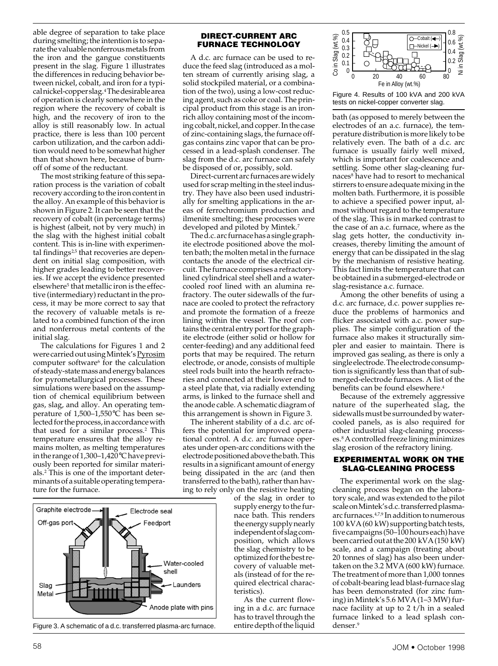able degree of separation to take place during smelting; the intention is to separate the valuable nonferrous metals from the iron and the gangue constituents present in the slag. Figure 1 illustrates the differences in reducing behavior between nickel, cobalt, and iron for a typical nickel-copper slag.4 The desirable area of operation is clearly somewhere in the region where the recovery of cobalt is high, and the recovery of iron to the alloy is still reasonably low. In actual practice, there is less than 100 percent carbon utilization, and the carbon addition would need to be somewhat higher than that shown here, because of burnoff of some of the reductant.

The most striking feature of this separation process is the variation of cobalt recovery according to the iron content in the alloy. An example of this behavior is shown in Figure 2. It can be seen that the recovery of cobalt (in percentage terms) is highest (albeit, not by very much) in the slag with the highest initial cobalt content. This is in-line with experimental findings<sup>2,5</sup> that recoveries are dependent on initial slag composition, with higher grades leading to better recoveries. If we accept the evidence presented elsewhere<sup>5</sup> that metallic iron is the effective (intermediary) reductant in the process, it may be more correct to say that the recovery of valuable metals is related to a combined function of the iron and nonferrous metal contents of the initial slag.

The calculations for Figures 1 and 2 were carried out using Mintek's Pyrosim computer software6 for the calculation of steady-state mass and energy balances for pyrometallurgical processes. These simulations were based on the assumption of chemical equilibrium between gas, slag, and alloy. An operating temperature of 1,500–1,550°C has been selected for the process, in accordance with that used for a similar process.2 This temperature ensures that the alloy remains molten, as melting temperatures in the range of 1,300–1,420°C have previously been reported for similar materials.2 This is one of the important determinants of a suitable operating temperature for the furnace.



Figure 3. A schematic of a d.c. transferred plasma-arc furnace.

## **DIRECT-CURRENT ARC FURNACE TECHNOLOGY**

A d.c. arc furnace can be used to reduce the feed slag (introduced as a molten stream of currently arising slag, a solid stockpiled material, or a combination of the two), using a low-cost reducing agent, such as coke or coal. The principal product from this stage is an ironrich alloy containing most of the incoming cobalt, nickel, and copper. In the case of zinc-containing slags, the furnace offgas contains zinc vapor that can be processed in a lead-splash condenser. The slag from the d.c. arc furnace can safely be disposed of or, possibly, sold.

Direct-current arc furnaces are widely used for scrap melting in the steel industry. They have also been used industrially for smelting applications in the areas of ferrochromium production and ilmenite smelting; these processes were developed and piloted by Mintek.<sup>7</sup>

The d.c. arc furnace has a single graphite electrode positioned above the molten bath; the molten metal in the furnace contacts the anode of the electrical circuit. The furnace comprises a refractorylined cylindrical steel shell and a watercooled roof lined with an alumina refractory. The outer sidewalls of the furnace are cooled to protect the refractory and promote the formation of a freeze lining within the vessel. The roof contains the central entry port for the graphite electrode (either solid or hollow for center-feeding) and any additional feed ports that may be required. The return electrode, or anode, consists of multiple steel rods built into the hearth refractories and connected at their lower end to a steel plate that, via radially extending arms, is linked to the furnace shell and the anode cable. A schematic diagram of this arrangement is shown in Figure 3.

The inherent stability of a d.c. arc offers the potential for improved operational control. A d.c. arc furnace operates under open-arc conditions with the electrode positioned above the bath. This results in a significant amount of energy being dissipated in the arc (and then transferred to the bath), rather than having to rely only on the resistive heating

of the slag in order to supply energy to the furnace bath. This renders the energy supply nearly independent of slag composition, which allows the slag chemistry to be optimized for the best recovery of valuable metals (instead of for the required electrical characteristics).

As the current flowing in a d.c. arc furnace has to travel through the entire depth of the liquid



Figure 4. Results of 100 kVA and 200 kVA tests on nickel-copper converter slag.

bath (as opposed to merely between the electrodes of an a.c. furnace), the temperature distribution is more likely to be relatively even. The bath of a d.c. arc furnace is usually fairly well mixed, which is important for coalescence and settling. Some other slag-cleaning furnaces<sup>8</sup> have had to resort to mechanical stirrers to ensure adequate mixing in the molten bath. Furthermore, it is possible to achieve a specified power input, almost without regard to the temperature of the slag. This is in marked contrast to the case of an a.c. furnace, where as the slag gets hotter, the conductivity increases, thereby limiting the amount of energy that can be dissipated in the slag by the mechanism of resistive heating. This fact limits the temperature that can be obtained in a submerged-electrode or slag-resistance a.c. furnace.

Among the other benefits of using a d.c. arc furnace, d.c. power supplies reduce the problems of harmonics and flicker associated with a.c. power supplies. The simple configuration of the furnace also makes it structurally simpler and easier to maintain. There is improved gas sealing, as there is only a single electrode. The electrode consumption is significantly less than that of submerged-electrode furnaces. A list of the benefits can be found elsewhere.4

Because of the extremely aggressive nature of the superheated slag, the sidewalls must be surrounded by watercooled panels, as is also required for other industrial slag-cleaning processes.8 A controlled freeze lining minimizes slag erosion of the refractory lining.

#### **EXPERIMENTAL WORK ON THE SLAG-CLEANING PROCESS**

The experimental work on the slagcleaning process began on the laboratory scale, and was extended to the pilot scale on Mintek's d.c. transferred plasmaarc furnaces.4,7,9 In addition to numerous 100 kVA (60 kW) supporting batch tests, five campaigns (50–100 hours each) have been carried out at the 200␣ kVA (150␣ kW) scale, and a campaign (treating about 20 tonnes of slag) has also been undertaken on the  $3.2$  MVA (600 kW) furnace. The treatment of more than 1,000␣ tonnes of cobalt-bearing lead blast-furnace slag has been demonstrated (for zinc fuming) in Mintek's 5.6 MVA (1-3 MW) furnace facility at up to 2 t/h in a sealed furnace linked to a lead splash condenser.9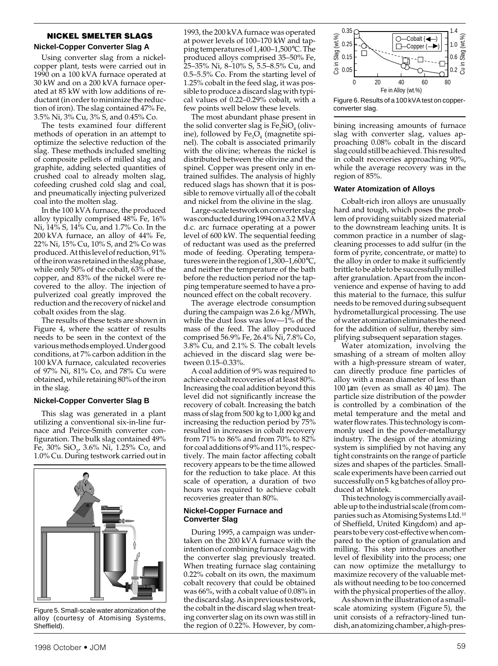## **NICKEL SMELTER SLAGS**

## **Nickel-Copper Converter Slag A**

Using converter slag from a nickelcopper plant, tests were carried out in 1990 on a 100 kVA furnace operated at 30␣ kW and on a 200␣ kVA furnace operated at 85 kW with low additions of reductant (in order to minimize the reduction of iron). The slag contained 47% Fe, 3.5% Ni, 3% Cu, 3% S, and 0.45% Co.

The tests examined four different methods of operation in an attempt to optimize the selective reduction of the slag. These methods included smelting of composite pellets of milled slag and graphite, adding selected quantities of crushed coal to already molten slag, cofeeding crushed cold slag and coal, and pneumatically injecting pulverized coal into the molten slag.

In the 100␣ kVA furnace, the produced alloy typically comprised 48% Fe, 16% Ni, 14% S, 14% Cu, and 1.7% Co. In the 200␣ kVA furnace, an alloy of 44% Fe, 22% Ni, 15% Cu, 10% S, and 2% Co was produced. At this level of reduction, 91% of the iron was retained in the slag phase, while only 50% of the cobalt, 63% of the copper, and 83% of the nickel were recovered to the alloy. The injection of pulverized coal greatly improved the reduction and the recovery of nickel and cobalt oxides from the slag.

The results of these tests are shown in Figure 4, where the scatter of results needs to be seen in the context of the various methods employed. Under good conditions, at 7% carbon addition in the 100 kVA furnace, calculated recoveries of 97% Ni, 81% Co, and␣ 78% Cu were obtained, while retaining 80% of the iron in the slag.

#### **Nickel-Copper Converter Slag B**

This slag was generated in a plant utilizing a conventional six-in-line furnace and Peirce-Smith converter configuration. The bulk slag contained 49% Fe, 30%  $\rm SiO_{2'}$  3.6% Ni, 1.25% Co, and 1.0% Cu. During testwork carried out in



Figure 5. Small-scale water atomization of the alloy (courtesy of Atomising Systems, Sheffield).

1993, the 200 kVA furnace was operated at power levels of 100–170␣ kW and tapping temperatures of 1,400–1,500°C. The produced alloys comprised 35–50% Fe, 25–35% Ni, 8–10% S, 5.5–8.5% Cu, and 0.5–5.5% Co. From the starting level of 1.25% cobalt in the feed slag, it was possible to produce a discard slag with typical values of 0.22–0.29% cobalt, with a few points well below these levels.

The most abundant phase present in the solid converter slag is  $Fe<sub>2</sub>SiO<sub>4</sub>$  (olivine), followed by  $Fe<sub>3</sub>O<sub>4</sub>$  (magnetite spinel). The cobalt is associated primarily with the olivine; whereas the nickel is distributed between the olivine and the spinel. Copper was present only in entrained sulfides. The analysis of highly reduced slags has shown that it is possible to remove virtually all of the cobalt and nickel from the olivine in the slag.

Large-scale testwork on converter slag was conducted during 1994 on a 3.2␣ MVA d.c. arc furnace operating at a power level of 600 kW. The sequential feeding of reductant was used as the preferred mode of feeding. Operating temperatures were in the region of 1,300–1,600°C, and neither the temperature of the bath before the reduction period nor the tapping temperature seemed to have a pronounced effect on the cobalt recovery.

The average electrode consumption during the campaign was 2.6␣ kg/MWh, while the dust loss was low—1% of the mass of the feed. The alloy produced comprised 56.9% Fe, 26.4% Ni, 7.8% Co, 3.8% Cu, and 2.1% S. The cobalt levels achieved in the discard slag were between 0.15–0.33%.

A coal addition of 9% was required to achieve cobalt recoveries of at least 80%. Increasing the coal addition beyond this level did not significantly increase the recovery of cobalt. Increasing the batch mass of slag from 500 kg to 1,000 kg and increasing the reduction period by 75% resulted in increases in cobalt recovery from 71% to 86% and from 70% to 82% for coal additions of 9% and 11%, respectively. The main factor affecting cobalt recovery appears to be the time allowed for the reduction to take place. At this scale of operation, a duration of two hours was required to achieve cobalt recoveries greater than 80%.

#### **Nickel-Copper Furnace and Converter Slag**

During 1995, a campaign was undertaken on the 200␣ kVA furnace with the intention of combining furnace slag with the converter slag previously treated. When treating furnace slag containing 0.22% cobalt on its own, the maximum cobalt recovery that could be obtained was 66%, with a cobalt value of 0.08% in the discard slag. As in previous testwork, the cobalt in the discard slag when treating converter slag on its own was still in the region of 0.22%. However, by com-



Figure 6. Results of a 100 kVA test on copperconverter slag.

bining increasing amounts of furnace slag with converter slag, values approaching 0.08% cobalt in the discard slag could still be achieved. This resulted in cobalt recoveries approaching 90%, while the average recovery was in the region of 85%.

#### **Water Atomization of Alloys**

Cobalt-rich iron alloys are unusually hard and tough, which poses the problem of providing suitably sized material to the downstream leaching units. It is common practice in a number of slagcleaning processes to add sulfur (in the form of pyrite, concentrate, or matte) to the alloy in order to make it sufficiently brittle to be able to be successfully milled after granulation. Apart from the inconvenience and expense of having to add this material to the furnace, this sulfur needs to be removed during subsequent hydrometallurgical processing. The use of water atomization eliminates the need for the addition of sulfur, thereby simplifying subsequent separation stages.

Water atomization, involving the smashing of a stream of molten alloy with a high-pressure stream of water, can directly produce fine particles of alloy with a mean diameter of less than 100 μm (even as small as  $40 \mu$ m). The particle size distribution of the powder is controlled by a combination of the metal temperature and the metal and water flow rates. This technology is commonly used in the powder-metallurgy industry. The design of the atomizing system is simplified by not having any tight constraints on the range of particle sizes and shapes of the particles. Smallscale experiments have been carried out successfully on 5 kg batches of alloy produced at Mintek.

This technology is commercially available up to the industrial scale (from companies such as Atomising Systems Ltd.10 of Sheffield, United Kingdom) and appears to be very cost-effective when compared to the option of granulation and milling. This step introduces another level of flexibility into the process; one can now optimize the metallurgy to maximize recovery of the valuable metals without needing to be too concerned with the physical properties of the alloy.

As shown in the illustration of a smallscale atomizing system (Figure 5), the unit consists of a refractory-lined tundish, an atomizing chamber, a high-pres-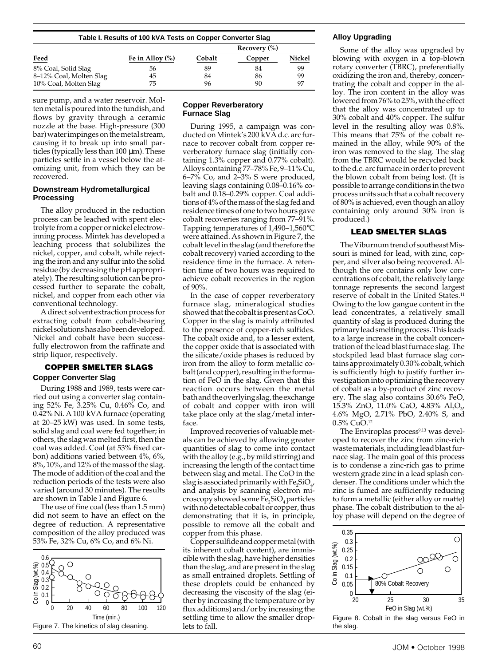| Table I. Results of 100 kVA Tests on Copper Converter Slag |                    |                  |        |        |  |
|------------------------------------------------------------|--------------------|------------------|--------|--------|--|
|                                                            |                    | Recovery $(\% )$ |        |        |  |
| <b>Feed</b>                                                | Fe in Alloy $(\%)$ | Cobalt           | Copper | Nickel |  |
| 8% Coal, Solid Slag                                        | 56                 | 89               | 84     | 99     |  |
| 8-12% Coal, Molten Slag                                    | 45                 | 84               | 86     | 99     |  |
| 10% Coal, Molten Slag                                      | 75                 | 96               | 90     | 97     |  |

sure pump, and a water reservoir. Molten metal is poured into the tundish, and flows by gravity through a ceramic nozzle at the base. High-pressure (300 bar) water impinges on the metal stream, causing it to break up into small particles (typically less than  $100 \mu m$ ). These particles settle in a vessel below the atomizing unit, from which they can be recovered.

#### **Downstream Hydrometallurgical Processing**

The alloy produced in the reduction process can be leached with spent electrolyte from a copper or nickel electrowinning process. Mintek has developed a leaching process that solubilizes the nickel, copper, and cobalt, while rejecting the iron and any sulfur into the solid residue (by decreasing the pH appropriately). The resulting solution can be processed further to separate the cobalt, nickel, and copper from each other via conventional technology.

A direct solvent extraction process for extracting cobalt from cobalt-bearing nickel solutions has also been developed. Nickel and cobalt have been successfully electrowon from the raffinate and strip liquor, respectively.

# **COPPER SMELTER SLAGS**

## **Copper Converter Slag**

During 1988 and 1989, tests were carried out using a converter slag containing 52% Fe, 3.25% Cu, 0.46% Co, and 0.42% Ni. A 100␣ kVA furnace (operating at 20–25␣ kW) was used. In some tests, solid slag and coal were fed together; in others, the slag was melted first, then the coal was added. Coal (at 53% fixed carbon) additions varied between 4%, 6%, 8%, 10%, and 12% of the mass of the slag. The mode of addition of the coal and the reduction periods of the tests were also varied (around 30 minutes). The results are shown in Table I and Figure 6.

The use of fine coal (less than 1.5␣ mm) did not seem to have an effect on the degree of reduction. A representative composition of the alloy produced was 53% Fe, 32% Cu, 6% Co, and 6% Ni.



| <b>Copper Reverberatory</b> |
|-----------------------------|
| <b>Furnace Slag</b>         |

During 1995, a campaign was conducted on Mintek's 200␣ kVA d.c. arc furnace to recover cobalt from copper reverberatory furnace slag (initially containing 1.3% copper and 0.77% cobalt). Alloys containing 77–78% Fe, 9–11% Cu, 6–7% Co, and 2–3% S were produced, leaving slags containing 0.08–0.16% cobalt and 0.18–0.29% copper. Coal additions of 4% of the mass of the slag fed and residence times of one to two hours gave cobalt recoveries ranging from 77–91%. Tapping temperatures of 1,490–1,560°C were attained. As shown in Figure 7, the cobalt level in the slag (and therefore the cobalt recovery) varied according to the residence time in the furnace. A retention time of two hours was required to achieve cobalt recoveries in the region  $of 90\%$ .

In the case of copper reverberatory furnace slag, mineralogical studies showed that the cobalt is present as CoO. Copper in the slag is mainly attributed to the presence of copper-rich sulfides. The cobalt oxide and, to a lesser extent, the copper oxide that is associated with the silicate/oxide phases is reduced by iron from the alloy to form metallic cobalt (and copper), resulting in the formation of FeO in the slag. Given that this reaction occurs between the metal bath and the overlying slag, the exchange of cobalt and copper with iron will take place only at the slag/metal interface.

Improved recoveries of valuable metals can be achieved by allowing greater quantities of slag to come into contact with the alloy (e.g., by mild stirring) and increasing the length of the contact time between slag and metal. The CoO in the slag is associated primarily with Fe<sub>2</sub>SiO<sub> $<sub>4</sub>$ ,</sub></sub> and analysis by scanning electron microscopy showed some  $Fe<sub>2</sub>SiO<sub>4</sub>$  particles with no detectable cobalt or copper, thus demonstrating that it is, in principle, possible to remove all the cobalt and copper from this phase.

Copper sulfide and copper metal (with its inherent cobalt content), are immiscible with the slag, have higher densities than the slag, and are present in the slag as small entrained droplets. Settling of these droplets could be enhanced by decreasing the viscosity of the slag (ei- $\begin{array}{c} \bigcirc \rightarrow \\ \bigcirc \rightarrow \\ \hline \end{array}$  ther by increasing the temperature or by  $\begin{array}{c} 20 \rightarrow \bullet \\ \hline \end{array}$  25 flux additions) and/or by increasing the settling time to allow the smaller droplets to fall.

## **Alloy Upgrading**

Some of the alloy was upgraded by blowing with oxygen in a top-blown rotary converter (TBRC), preferentially oxidizing the iron and, thereby, concentrating the cobalt and copper in the alloy. The iron content in the alloy was lowered from 76% to 25%, with the effect that the alloy was concentrated up to 30% cobalt and 40% copper. The sulfur level in the resulting alloy was 0.8%. This means that 75% of the cobalt remained in the alloy, while 90% of the iron was removed to the slag. The slag from the TBRC would be recycled back to the d.c. arc furnace in order to prevent the blown cobalt from being lost. (It is possible to arrange conditions in the two process units such that a cobalt recovery of 80% is achieved, even though an alloy containing only around 30% iron is produced.)

## **LEAD SMELTER SLAGS**

The Viburnum trend of southeast Missouri is mined for lead, with zinc, copper, and silver also being recovered. Although the ore contains only low concentrations of cobalt, the relatively large tonnage represents the second largest reserve of cobalt in the United States.<sup>11</sup> Owing to the low gangue content in the lead concentrates, a relatively small quantity of slag is produced during the primary lead smelting process. This leads to a large increase in the cobalt concentration of the lead blast furnace slag. The stockpiled lead blast furnace slag contains approximately 0.30% cobalt, which is sufficiently high to justify further investigation into optimizing the recovery of cobalt as a by-product of zinc recovery. The slag also contains 30.6% FeO, 15.3% ZnO, 11.0% CaO, 4.83% Al,  $O_{3}$ 4.6% MgO, 2.71% PbO, 2.40% S, and 0.5% CuO.12

The Enviroplas process<sup>9,13</sup> was developed to recover the zinc from zinc-rich waste materials, including lead blast furnace slag. The main goal of this process is to condense a zinc-rich gas to prime western grade zinc in a lead splash condenser. The conditions under which the zinc is fumed are sufficiently reducing to form a metallic (either alloy or matte) phase. The cobalt distribution to the alloy phase will depend on the degree of



Figure 8. Cobalt in the slag versus FeO in the slag.